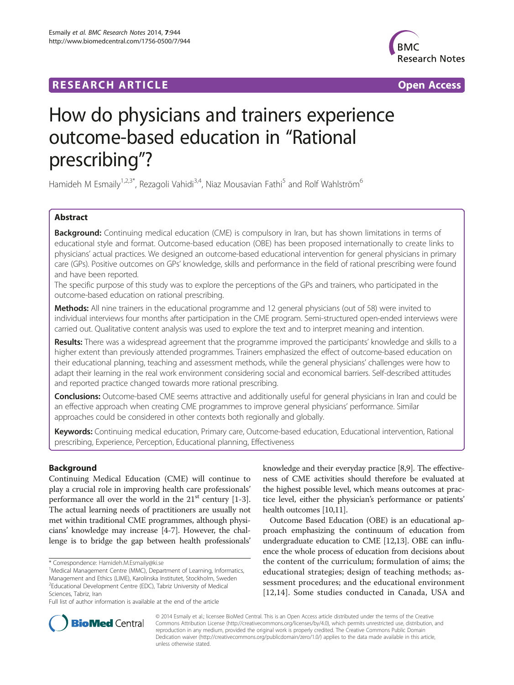# **RESEARCH ARTICLE Example 2014 CONSIDERING A RESEARCH ARTICLE**



# How do physicians and trainers experience outcome-based education in "Rational prescribing"?

Hamideh M Esmaily<sup>1,2,3\*</sup>, Rezagoli Vahidi<sup>3,4</sup>, Niaz Mousavian Fathi<sup>5</sup> and Rolf Wahlström<sup>6</sup>

# Abstract

Background: Continuing medical education (CME) is compulsory in Iran, but has shown limitations in terms of educational style and format. Outcome-based education (OBE) has been proposed internationally to create links to physicians' actual practices. We designed an outcome-based educational intervention for general physicians in primary care (GPs). Positive outcomes on GPs' knowledge, skills and performance in the field of rational prescribing were found and have been reported.

The specific purpose of this study was to explore the perceptions of the GPs and trainers, who participated in the outcome-based education on rational prescribing.

Methods: All nine trainers in the educational programme and 12 general physicians (out of 58) were invited to individual interviews four months after participation in the CME program. Semi-structured open-ended interviews were carried out. Qualitative content analysis was used to explore the text and to interpret meaning and intention.

Results: There was a widespread agreement that the programme improved the participants' knowledge and skills to a higher extent than previously attended programmes. Trainers emphasized the effect of outcome-based education on their educational planning, teaching and assessment methods, while the general physicians' challenges were how to adapt their learning in the real work environment considering social and economical barriers. Self-described attitudes and reported practice changed towards more rational prescribing.

Conclusions: Outcome-based CME seems attractive and additionally useful for general physicians in Iran and could be an effective approach when creating CME programmes to improve general physicians' performance. Similar approaches could be considered in other contexts both regionally and globally.

Keywords: Continuing medical education, Primary care, Outcome-based education, Educational intervention, Rational prescribing, Experience, Perception, Educational planning, Effectiveness

# **Background**

Continuing Medical Education (CME) will continue to play a crucial role in improving health care professionals' performance all over the world in the  $21<sup>st</sup>$  century [[1-3](#page-9-0)]. The actual learning needs of practitioners are usually not met within traditional CME programmes, although physicians' knowledge may increase [\[4-7](#page-9-0)]. However, the challenge is to bridge the gap between health professionals'

knowledge and their everyday practice [\[8,9\]](#page-9-0). The effectiveness of CME activities should therefore be evaluated at the highest possible level, which means outcomes at practice level, either the physician's performance or patients' health outcomes [\[10,11\]](#page-9-0).

Outcome Based Education (OBE) is an educational approach emphasizing the continuum of education from undergraduate education to CME [[12,13\]](#page-9-0). OBE can influence the whole process of education from decisions about the content of the curriculum; formulation of aims; the educational strategies; design of teaching methods; assessment procedures; and the educational environment [[12,14\]](#page-9-0). Some studies conducted in Canada, USA and



© 2014 Esmaily et al.; licensee BioMed Central. This is an Open Access article distributed under the terms of the Creative Commons Attribution License [\(http://creativecommons.org/licenses/by/4.0\)](http://creativecommons.org/licenses/by/4.0), which permits unrestricted use, distribution, and reproduction in any medium, provided the original work is properly credited. The Creative Commons Public Domain Dedication waiver [\(http://creativecommons.org/publicdomain/zero/1.0/](http://creativecommons.org/publicdomain/zero/1.0/)) applies to the data made available in this article, unless otherwise stated.

<sup>\*</sup> Correspondence: [Hamideh.M.Esmaily@ki.se](mailto:Hamideh.M.Esmaily@ki.se) <sup>1</sup>

<sup>&</sup>lt;sup>1</sup>Medical Management Centre (MMC), Department of Learning, Informatics, Management and Ethics (LIME), Karolinska Institutet, Stockholm, Sweden 2 Educational Development Centre (EDC), Tabriz University of Medical Sciences, Tabriz, Iran

Full list of author information is available at the end of the article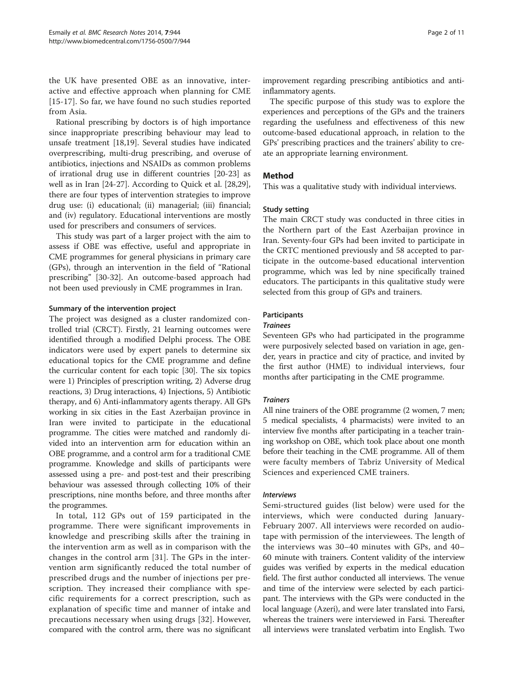the UK have presented OBE as an innovative, interactive and effective approach when planning for CME [[15](#page-9-0)-[17\]](#page-9-0). So far, we have found no such studies reported from Asia.

Rational prescribing by doctors is of high importance since inappropriate prescribing behaviour may lead to unsafe treatment [\[18,19\]](#page-9-0). Several studies have indicated overprescribing, multi-drug prescribing, and overuse of antibiotics, injections and NSAIDs as common problems of irrational drug use in different countries [\[20-23](#page-9-0)] as well as in Iran [\[24](#page-9-0)-[27\]](#page-9-0). According to Quick et al. [\[28,29](#page-9-0)], there are four types of intervention strategies to improve drug use: (i) educational; (ii) managerial; (iii) financial; and (iv) regulatory. Educational interventions are mostly used for prescribers and consumers of services.

This study was part of a larger project with the aim to assess if OBE was effective, useful and appropriate in CME programmes for general physicians in primary care (GPs), through an intervention in the field of "Rational prescribing" [\[30-32](#page-9-0)]. An outcome-based approach had not been used previously in CME programmes in Iran.

#### Summary of the intervention project

The project was designed as a cluster randomized controlled trial (CRCT). Firstly, 21 learning outcomes were identified through a modified Delphi process. The OBE indicators were used by expert panels to determine six educational topics for the CME programme and define the curricular content for each topic [\[30\]](#page-9-0). The six topics were 1) Principles of prescription writing, 2) Adverse drug reactions, 3) Drug interactions, 4) Injections, 5) Antibiotic therapy, and 6) Anti-inflammatory agents therapy. All GPs working in six cities in the East Azerbaijan province in Iran were invited to participate in the educational programme. The cities were matched and randomly divided into an intervention arm for education within an OBE programme, and a control arm for a traditional CME programme. Knowledge and skills of participants were assessed using a pre- and post-test and their prescribing behaviour was assessed through collecting 10% of their prescriptions, nine months before, and three months after the programmes.

In total, 112 GPs out of 159 participated in the programme. There were significant improvements in knowledge and prescribing skills after the training in the intervention arm as well as in comparison with the changes in the control arm [\[31](#page-9-0)]. The GPs in the intervention arm significantly reduced the total number of prescribed drugs and the number of injections per prescription. They increased their compliance with specific requirements for a correct prescription, such as explanation of specific time and manner of intake and precautions necessary when using drugs [[32\]](#page-9-0). However, compared with the control arm, there was no significant

improvement regarding prescribing antibiotics and antiinflammatory agents.

The specific purpose of this study was to explore the experiences and perceptions of the GPs and the trainers regarding the usefulness and effectiveness of this new outcome-based educational approach, in relation to the GPs' prescribing practices and the trainers' ability to create an appropriate learning environment.

## Method

This was a qualitative study with individual interviews.

#### Study setting

The main CRCT study was conducted in three cities in the Northern part of the East Azerbaijan province in Iran. Seventy-four GPs had been invited to participate in the CRTC mentioned previously and 58 accepted to participate in the outcome-based educational intervention programme, which was led by nine specifically trained educators. The participants in this qualitative study were selected from this group of GPs and trainers.

## Participants

#### Trainees

Seventeen GPs who had participated in the programme were purposively selected based on variation in age, gender, years in practice and city of practice, and invited by the first author (HME) to individual interviews, four months after participating in the CME programme.

#### **Trainers**

All nine trainers of the OBE programme (2 women, 7 men; 5 medical specialists, 4 pharmacists) were invited to an interview five months after participating in a teacher training workshop on OBE, which took place about one month before their teaching in the CME programme. All of them were faculty members of Tabriz University of Medical Sciences and experienced CME trainers.

#### Interviews

Semi-structured guides (list below) were used for the interviews, which were conducted during January-February 2007. All interviews were recorded on audiotape with permission of the interviewees. The length of the interviews was 30–40 minutes with GPs, and 40– 60 minute with trainers. Content validity of the interview guides was verified by experts in the medical education field. The first author conducted all interviews. The venue and time of the interview were selected by each participant. The interviews with the GPs were conducted in the local language (Azeri), and were later translated into Farsi, whereas the trainers were interviewed in Farsi. Thereafter all interviews were translated verbatim into English. Two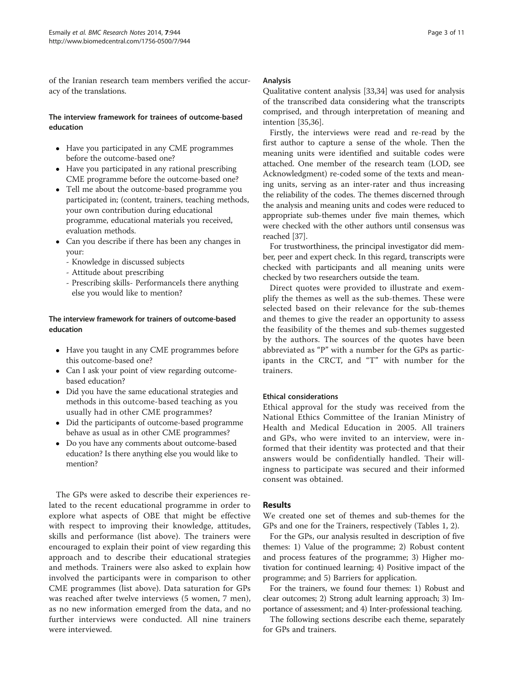of the Iranian research team members verified the accuracy of the translations.

## The interview framework for trainees of outcome-based education

- Have you participated in any CME programmes before the outcome-based one?
- Have you participated in any rational prescribing CME programme before the outcome-based one?
- Tell me about the outcome-based programme you participated in; (content, trainers, teaching methods, your own contribution during educational programme, educational materials you received, evaluation methods.
- Can you describe if there has been any changes in your:
	- Knowledge in discussed subjects
	- Attitude about prescribing
	- Prescribing skills- PerformanceIs there anything else you would like to mention?

## The interview framework for trainers of outcome-based education

- Have you taught in any CME programmes before this outcome-based one?
- Can I ask your point of view regarding outcomebased education?
- Did you have the same educational strategies and methods in this outcome-based teaching as you usually had in other CME programmes?
- Did the participants of outcome-based programme behave as usual as in other CME programmes?
- Do you have any comments about outcome-based education? Is there anything else you would like to mention?

The GPs were asked to describe their experiences related to the recent educational programme in order to explore what aspects of OBE that might be effective with respect to improving their knowledge, attitudes, skills and performance (list above). The trainers were encouraged to explain their point of view regarding this approach and to describe their educational strategies and methods. Trainers were also asked to explain how involved the participants were in comparison to other CME programmes (list above). Data saturation for GPs was reached after twelve interviews (5 women, 7 men), as no new information emerged from the data, and no further interviews were conducted. All nine trainers were interviewed.

## Analysis

Qualitative content analysis [\[33,34](#page-10-0)] was used for analysis of the transcribed data considering what the transcripts comprised, and through interpretation of meaning and intention [\[35,36\]](#page-10-0).

Firstly, the interviews were read and re-read by the first author to capture a sense of the whole. Then the meaning units were identified and suitable codes were attached. One member of the research team (LOD, see Acknowledgment) re-coded some of the texts and meaning units, serving as an inter-rater and thus increasing the reliability of the codes. The themes discerned through the analysis and meaning units and codes were reduced to appropriate sub-themes under five main themes, which were checked with the other authors until consensus was reached [[37](#page-10-0)].

For trustworthiness, the principal investigator did member, peer and expert check. In this regard, transcripts were checked with participants and all meaning units were checked by two researchers outside the team.

Direct quotes were provided to illustrate and exemplify the themes as well as the sub-themes. These were selected based on their relevance for the sub-themes and themes to give the reader an opportunity to assess the feasibility of the themes and sub-themes suggested by the authors. The sources of the quotes have been abbreviated as "P" with a number for the GPs as participants in the CRCT, and "T" with number for the trainers.

## Ethical considerations

Ethical approval for the study was received from the National Ethics Committee of the Iranian Ministry of Health and Medical Education in 2005. All trainers and GPs, who were invited to an interview, were informed that their identity was protected and that their answers would be confidentially handled. Their willingness to participate was secured and their informed consent was obtained.

## Results

We created one set of themes and sub-themes for the GPs and one for the Trainers, respectively (Tables [1](#page-3-0), [2](#page-3-0)).

For the GPs, our analysis resulted in description of five themes: 1) Value of the programme; 2) Robust content and process features of the programme; 3) Higher motivation for continued learning; 4) Positive impact of the programme; and 5) Barriers for application.

For the trainers, we found four themes: 1) Robust and clear outcomes; 2) Strong adult learning approach; 3) Importance of assessment; and 4) Inter-professional teaching.

The following sections describe each theme, separately for GPs and trainers.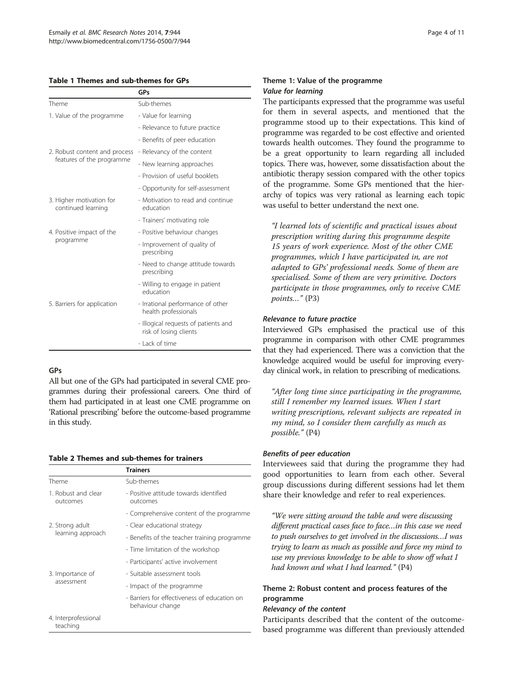#### <span id="page-3-0"></span>Table 1 Themes and sub-themes for GPs

|                                                            | GPs                                                            |
|------------------------------------------------------------|----------------------------------------------------------------|
| Theme                                                      | Sub-themes                                                     |
| 1. Value of the programme                                  | - Value for learning                                           |
|                                                            | - Relevance to future practice                                 |
|                                                            | - Benefits of peer education                                   |
| 2. Robust content and process<br>features of the programme | - Relevancy of the content                                     |
|                                                            | - New learning approaches                                      |
|                                                            | - Provision of useful booklets                                 |
|                                                            | - Opportunity for self-assessment                              |
| 3. Higher motivation for<br>continued learning             | - Motivation to read and continue<br>education                 |
|                                                            | - Trainers' motivating role                                    |
| 4. Positive impact of the<br>programme                     | - Positive behaviour changes                                   |
|                                                            | - Improvement of quality of<br>prescribing                     |
|                                                            | - Need to change attitude towards<br>prescribing               |
|                                                            | - Willing to engage in patient<br>education                    |
| 5. Barriers for application                                | - Irrational performance of other<br>health professionals      |
|                                                            | - Illogical requests of patients and<br>risk of losing clients |
|                                                            | - Lack of time                                                 |

## GPs

All but one of the GPs had participated in several CME programmes during their professional careers. One third of them had participated in at least one CME programme on 'Rational prescribing' before the outcome-based programme in this study.

#### Table 2 Themes and sub-themes for trainers

|                                      | <b>Trainers</b>                                                  |
|--------------------------------------|------------------------------------------------------------------|
| Theme                                | Sub-themes                                                       |
| 1. Robust and clear<br>outcomes      | - Positive attitude towards identified<br>outcomes               |
|                                      | - Comprehensive content of the programme                         |
| 2. Strong adult<br>learning approach | - Clear educational strategy                                     |
|                                      | - Benefits of the teacher training programme                     |
|                                      | - Time limitation of the workshop                                |
|                                      | - Participants' active involvement                               |
| 3. Importance of<br>assessment       | - Suitable assessment tools                                      |
|                                      | - Impact of the programme                                        |
|                                      | - Barriers for effectiveness of education on<br>behaviour change |
| 4. Interprofessional<br>teaching     |                                                                  |

## Theme 1: Value of the programme Value for learning

The participants expressed that the programme was useful for them in several aspects, and mentioned that the programme stood up to their expectations. This kind of programme was regarded to be cost effective and oriented towards health outcomes. They found the programme to be a great opportunity to learn regarding all included topics. There was, however, some dissatisfaction about the antibiotic therapy session compared with the other topics of the programme. Some GPs mentioned that the hierarchy of topics was very rational as learning each topic was useful to better understand the next one.

"I learned lots of scientific and practical issues about prescription writing during this programme despite 15 years of work experience. Most of the other CME programmes, which I have participated in, are not adapted to GPs' professional needs. Some of them are specialised. Some of them are very primitive. Doctors participate in those programmes, only to receive CME points…" (P3)

#### Relevance to future practice

Interviewed GPs emphasised the practical use of this programme in comparison with other CME programmes that they had experienced. There was a conviction that the knowledge acquired would be useful for improving everyday clinical work, in relation to prescribing of medications.

"After long time since participating in the programme, still I remember my learned issues. When I start writing prescriptions, relevant subjects are repeated in my mind, so I consider them carefully as much as possible." (P4)

#### Benefits of peer education

Interviewees said that during the programme they had good opportunities to learn from each other. Several group discussions during different sessions had let them share their knowledge and refer to real experiences.

"We were sitting around the table and were discussing different practical cases face to face…in this case we need to push ourselves to get involved in the discussions…I was trying to learn as much as possible and force my mind to use my previous knowledge to be able to show off what I had known and what I had learned." (P4)

## Theme 2: Robust content and process features of the programme

#### Relevancy of the content

Participants described that the content of the outcomebased programme was different than previously attended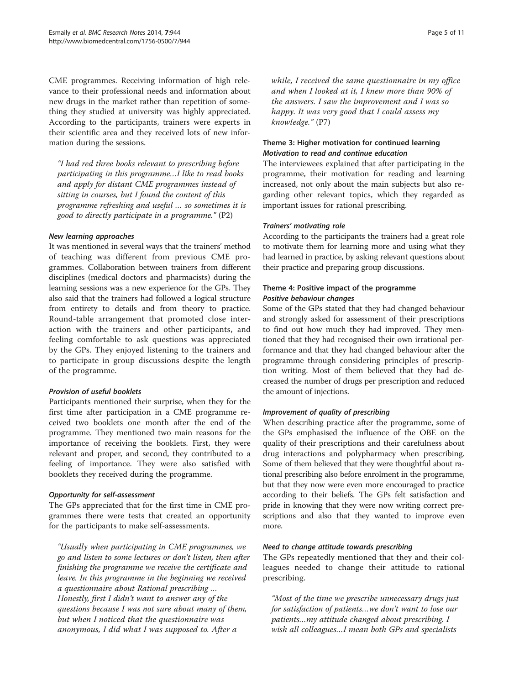CME programmes. Receiving information of high relevance to their professional needs and information about new drugs in the market rather than repetition of something they studied at university was highly appreciated. According to the participants, trainers were experts in their scientific area and they received lots of new information during the sessions.

"I had red three books relevant to prescribing before participating in this programme…I like to read books and apply for distant CME programmes instead of sitting in courses, but I found the content of this programme refreshing and useful … so sometimes it is good to directly participate in a programme." (P2)

#### New learning approaches

It was mentioned in several ways that the trainers' method of teaching was different from previous CME programmes. Collaboration between trainers from different disciplines (medical doctors and pharmacists) during the learning sessions was a new experience for the GPs. They also said that the trainers had followed a logical structure from entirety to details and from theory to practice. Round-table arrangement that promoted close interaction with the trainers and other participants, and feeling comfortable to ask questions was appreciated by the GPs. They enjoyed listening to the trainers and to participate in group discussions despite the length of the programme.

#### Provision of useful booklets

Participants mentioned their surprise, when they for the first time after participation in a CME programme received two booklets one month after the end of the programme. They mentioned two main reasons for the importance of receiving the booklets. First, they were relevant and proper, and second, they contributed to a feeling of importance. They were also satisfied with booklets they received during the programme.

## Opportunity for self-assessment

The GPs appreciated that for the first time in CME programmes there were tests that created an opportunity for the participants to make self-assessments.

"Usually when participating in CME programmes, we go and listen to some lectures or don't listen, then after finishing the programme we receive the certificate and leave. In this programme in the beginning we received a questionnaire about Rational prescribing … Honestly, first I didn't want to answer any of the questions because I was not sure about many of them, but when I noticed that the questionnaire was anonymous, I did what I was supposed to. After a

while, I received the same questionnaire in my office and when I looked at it, I knew more than 90% of the answers. I saw the improvement and I was so happy. It was very good that I could assess my knowledge." (P7)

## Theme 3: Higher motivation for continued learning Motivation to read and continue education

The interviewees explained that after participating in the programme, their motivation for reading and learning increased, not only about the main subjects but also regarding other relevant topics, which they regarded as important issues for rational prescribing.

## Trainers' motivating role

According to the participants the trainers had a great role to motivate them for learning more and using what they had learned in practice, by asking relevant questions about their practice and preparing group discussions.

## Theme 4: Positive impact of the programme Positive behaviour changes

Some of the GPs stated that they had changed behaviour and strongly asked for assessment of their prescriptions to find out how much they had improved. They mentioned that they had recognised their own irrational performance and that they had changed behaviour after the programme through considering principles of prescription writing. Most of them believed that they had decreased the number of drugs per prescription and reduced the amount of injections.

## Improvement of quality of prescribing

When describing practice after the programme, some of the GPs emphasised the influence of the OBE on the quality of their prescriptions and their carefulness about drug interactions and polypharmacy when prescribing. Some of them believed that they were thoughtful about rational prescribing also before enrolment in the programme, but that they now were even more encouraged to practice according to their beliefs. The GPs felt satisfaction and pride in knowing that they were now writing correct prescriptions and also that they wanted to improve even more.

#### Need to change attitude towards prescribing

The GPs repeatedly mentioned that they and their colleagues needed to change their attitude to rational prescribing.

"Most of the time we prescribe unnecessary drugs just for satisfaction of patients…we don't want to lose our patients…my attitude changed about prescribing. I wish all colleagues…I mean both GPs and specialists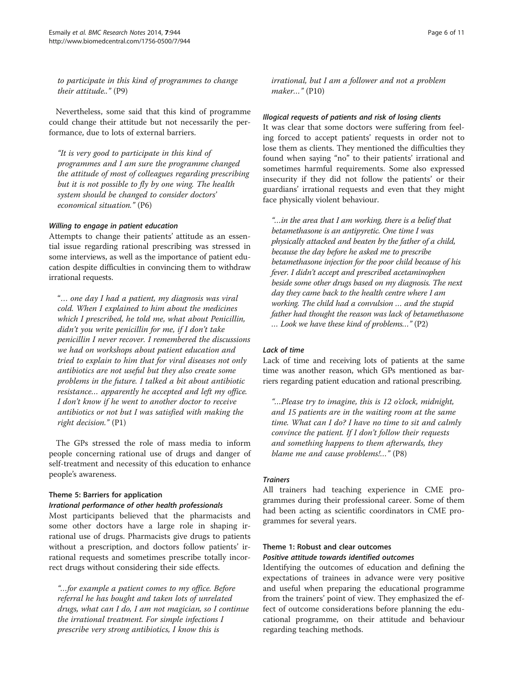to participate in this kind of programmes to change their attitude.." (P9)

Nevertheless, some said that this kind of programme could change their attitude but not necessarily the performance, due to lots of external barriers.

"It is very good to participate in this kind of programmes and I am sure the programme changed the attitude of most of colleagues regarding prescribing but it is not possible to fly by one wing. The health system should be changed to consider doctors' economical situation." (P6)

#### Willing to engage in patient education

Attempts to change their patients' attitude as an essential issue regarding rational prescribing was stressed in some interviews, as well as the importance of patient education despite difficulties in convincing them to withdraw irrational requests.

"… one day I had a patient, my diagnosis was viral cold. When I explained to him about the medicines which I prescribed, he told me, what about Penicillin, didn't you write penicillin for me, if I don't take penicillin I never recover. I remembered the discussions we had on workshops about patient education and tried to explain to him that for viral diseases not only antibiotics are not useful but they also create some problems in the future. I talked a bit about antibiotic resistance… apparently he accepted and left my office. I don't know if he went to another doctor to receive antibiotics or not but I was satisfied with making the right decision." (P1)

The GPs stressed the role of mass media to inform people concerning rational use of drugs and danger of self-treatment and necessity of this education to enhance people's awareness.

#### Theme 5: Barriers for application

#### Irrational performance of other health professionals

Most participants believed that the pharmacists and some other doctors have a large role in shaping irrational use of drugs. Pharmacists give drugs to patients without a prescription, and doctors follow patients' irrational requests and sometimes prescribe totally incorrect drugs without considering their side effects.

"…for example a patient comes to my office. Before referral he has bought and taken lots of unrelated drugs, what can I do, I am not magician, so I continue the irrational treatment. For simple infections I prescribe very strong antibiotics, I know this is

irrational, but I am a follower and not a problem maker…" (P10)

#### Illogical requests of patients and risk of losing clients

It was clear that some doctors were suffering from feeling forced to accept patients' requests in order not to lose them as clients. They mentioned the difficulties they found when saying "no" to their patients' irrational and sometimes harmful requirements. Some also expressed insecurity if they did not follow the patients' or their guardians' irrational requests and even that they might face physically violent behaviour.

"…in the area that I am working, there is a belief that betamethasone is an antipyretic. One time I was physically attacked and beaten by the father of a child, because the day before he asked me to prescribe betamethasone injection for the poor child because of his fever. I didn't accept and prescribed acetaminophen beside some other drugs based on my diagnosis. The next day they came back to the health centre where I am working. The child had a convulsion … and the stupid father had thought the reason was lack of betamethasone … Look we have these kind of problems…" (P2)

#### Lack of time

Lack of time and receiving lots of patients at the same time was another reason, which GPs mentioned as barriers regarding patient education and rational prescribing.

"…Please try to imagine, this is 12 o'clock, midnight, and 15 patients are in the waiting room at the same time. What can I do? I have no time to sit and calmly convince the patient. If I don't follow their requests and something happens to them afterwards, they blame me and cause problems!…" (P8)

#### **Trainers**

All trainers had teaching experience in CME programmes during their professional career. Some of them had been acting as scientific coordinators in CME programmes for several years.

# Theme 1: Robust and clear outcomes Positive attitude towards identified outcomes

Identifying the outcomes of education and defining the expectations of trainees in advance were very positive and useful when preparing the educational programme from the trainers' point of view. They emphasized the effect of outcome considerations before planning the educational programme, on their attitude and behaviour regarding teaching methods.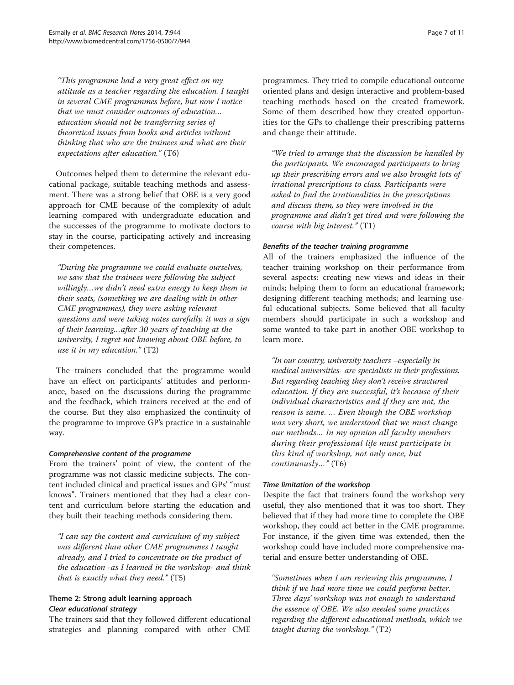"This programme had a very great effect on my attitude as a teacher regarding the education. I taught in several CME programmes before, but now I notice that we must consider outcomes of education… education should not be transferring series of theoretical issues from books and articles without thinking that who are the trainees and what are their expectations after education." (T6)

Outcomes helped them to determine the relevant educational package, suitable teaching methods and assessment. There was a strong belief that OBE is a very good approach for CME because of the complexity of adult learning compared with undergraduate education and the successes of the programme to motivate doctors to stay in the course, participating actively and increasing their competences.

"During the programme we could evaluate ourselves, we saw that the trainees were following the subject willingly…we didn't need extra energy to keep them in their seats, (something we are dealing with in other CME programmes), they were asking relevant questions and were taking notes carefully, it was a sign of their learning…after 30 years of teaching at the university, I regret not knowing about OBE before, to use it in my education."  $(T2)$ 

The trainers concluded that the programme would have an effect on participants' attitudes and performance, based on the discussions during the programme and the feedback, which trainers received at the end of the course. But they also emphasized the continuity of the programme to improve GP's practice in a sustainable way.

## Comprehensive content of the programme

From the trainers' point of view, the content of the programme was not classic medicine subjects. The content included clinical and practical issues and GPs' "must knows". Trainers mentioned that they had a clear content and curriculum before starting the education and they built their teaching methods considering them.

"I can say the content and curriculum of my subject was different than other CME programmes I taught already, and I tried to concentrate on the product of the education -as I learned in the workshop- and think that is exactly what they need."  $(T5)$ 

# Theme 2: Strong adult learning approach Clear educational strategy

The trainers said that they followed different educational strategies and planning compared with other CME

programmes. They tried to compile educational outcome oriented plans and design interactive and problem-based teaching methods based on the created framework. Some of them described how they created opportunities for the GPs to challenge their prescribing patterns and change their attitude.

"We tried to arrange that the discussion be handled by the participants. We encouraged participants to bring up their prescribing errors and we also brought lots of irrational prescriptions to class. Participants were asked to find the irrationalities in the prescriptions and discuss them, so they were involved in the programme and didn't get tired and were following the course with big interest." (T1)

## Benefits of the teacher training programme

All of the trainers emphasized the influence of the teacher training workshop on their performance from several aspects: creating new views and ideas in their minds; helping them to form an educational framework; designing different teaching methods; and learning useful educational subjects. Some believed that all faculty members should participate in such a workshop and some wanted to take part in another OBE workshop to learn more.

"In our country, university teachers –especially in medical universities- are specialists in their professions. But regarding teaching they don't receive structured education. If they are successful, it's because of their individual characteristics and if they are not, the reason is same. … Even though the OBE workshop was very short, we understood that we must change our methods… In my opinion all faculty members during their professional life must participate in this kind of workshop, not only once, but continuously…" (T6)

# Time limitation of the workshop

Despite the fact that trainers found the workshop very useful, they also mentioned that it was too short. They believed that if they had more time to complete the OBE workshop, they could act better in the CME programme. For instance, if the given time was extended, then the workshop could have included more comprehensive material and ensure better understanding of OBE.

"Sometimes when I am reviewing this programme, I think if we had more time we could perform better. Three days' workshop was not enough to understand the essence of OBE. We also needed some practices regarding the different educational methods, which we taught during the workshop." (T2)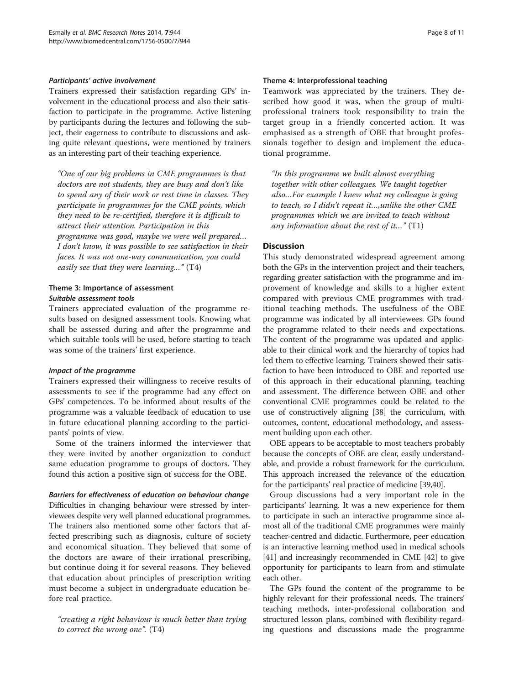#### Participants' active involvement

Trainers expressed their satisfaction regarding GPs' involvement in the educational process and also their satisfaction to participate in the programme. Active listening by participants during the lectures and following the subject, their eagerness to contribute to discussions and asking quite relevant questions, were mentioned by trainers as an interesting part of their teaching experience.

"One of our big problems in CME programmes is that doctors are not students, they are busy and don't like to spend any of their work or rest time in classes. They participate in programmes for the CME points, which they need to be re-certified, therefore it is difficult to attract their attention. Participation in this programme was good, maybe we were well prepared… I don't know, it was possible to see satisfaction in their faces. It was not one-way communication, you could easily see that they were learning…" (T4)

## Theme 3: Importance of assessment Suitable assessment tools

Trainers appreciated evaluation of the programme results based on designed assessment tools. Knowing what shall be assessed during and after the programme and which suitable tools will be used, before starting to teach was some of the trainers' first experience.

#### Impact of the programme

Trainers expressed their willingness to receive results of assessments to see if the programme had any effect on GPs' competences. To be informed about results of the programme was a valuable feedback of education to use in future educational planning according to the participants' points of view.

Some of the trainers informed the interviewer that they were invited by another organization to conduct same education programme to groups of doctors. They found this action a positive sign of success for the OBE.

#### Barriers for effectiveness of education on behaviour change

Difficulties in changing behaviour were stressed by interviewees despite very well planned educational programmes. The trainers also mentioned some other factors that affected prescribing such as diagnosis, culture of society and economical situation. They believed that some of the doctors are aware of their irrational prescribing, but continue doing it for several reasons. They believed that education about principles of prescription writing must become a subject in undergraduate education before real practice.

"creating a right behaviour is much better than trying to correct the wrong one". (T4)

#### Theme 4: Interprofessional teaching

Teamwork was appreciated by the trainers. They described how good it was, when the group of multiprofessional trainers took responsibility to train the target group in a friendly concerted action. It was emphasised as a strength of OBE that brought professionals together to design and implement the educational programme.

"In this programme we built almost everything together with other colleagues. We taught together also…For example I knew what my colleague is going to teach, so I didn't repeat it…,unlike the other CME programmes which we are invited to teach without any information about the rest of it..."  $(T1)$ 

#### **Discussion**

This study demonstrated widespread agreement among both the GPs in the intervention project and their teachers, regarding greater satisfaction with the programme and improvement of knowledge and skills to a higher extent compared with previous CME programmes with traditional teaching methods. The usefulness of the OBE programme was indicated by all interviewees. GPs found the programme related to their needs and expectations. The content of the programme was updated and applicable to their clinical work and the hierarchy of topics had led them to effective learning. Trainers showed their satisfaction to have been introduced to OBE and reported use of this approach in their educational planning, teaching and assessment. The difference between OBE and other conventional CME programmes could be related to the use of constructively aligning [[38](#page-10-0)] the curriculum, with outcomes, content, educational methodology, and assessment building upon each other.

OBE appears to be acceptable to most teachers probably because the concepts of OBE are clear, easily understandable, and provide a robust framework for the curriculum. This approach increased the relevance of the education for the participants' real practice of medicine [[39,40\]](#page-10-0).

Group discussions had a very important role in the participants' learning. It was a new experience for them to participate in such an interactive programme since almost all of the traditional CME programmes were mainly teacher-centred and didactic. Furthermore, peer education is an interactive learning method used in medical schools [[41](#page-10-0)] and increasingly recommended in CME [\[42](#page-10-0)] to give opportunity for participants to learn from and stimulate each other.

The GPs found the content of the programme to be highly relevant for their professional needs. The trainers' teaching methods, inter-professional collaboration and structured lesson plans, combined with flexibility regarding questions and discussions made the programme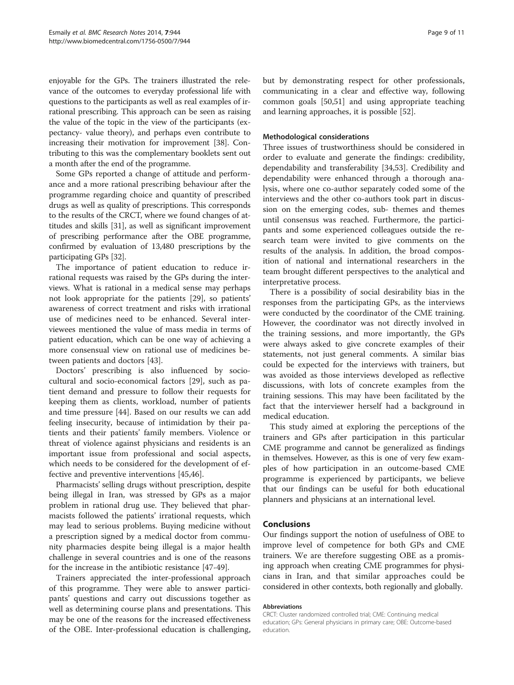enjoyable for the GPs. The trainers illustrated the relevance of the outcomes to everyday professional life with questions to the participants as well as real examples of irrational prescribing. This approach can be seen as raising the value of the topic in the view of the participants (expectancy- value theory), and perhaps even contribute to increasing their motivation for improvement [[38](#page-10-0)]. Contributing to this was the complementary booklets sent out a month after the end of the programme.

Some GPs reported a change of attitude and performance and a more rational prescribing behaviour after the programme regarding choice and quantity of prescribed drugs as well as quality of prescriptions. This corresponds to the results of the CRCT, where we found changes of attitudes and skills [[31](#page-9-0)], as well as significant improvement of prescribing performance after the OBE programme, confirmed by evaluation of 13,480 prescriptions by the participating GPs [[32](#page-9-0)].

The importance of patient education to reduce irrational requests was raised by the GPs during the interviews. What is rational in a medical sense may perhaps not look appropriate for the patients [\[29\]](#page-9-0), so patients' awareness of correct treatment and risks with irrational use of medicines need to be enhanced. Several interviewees mentioned the value of mass media in terms of patient education, which can be one way of achieving a more consensual view on rational use of medicines between patients and doctors [[43](#page-10-0)].

Doctors' prescribing is also influenced by sociocultural and socio-economical factors [\[29\]](#page-9-0), such as patient demand and pressure to follow their requests for keeping them as clients, workload, number of patients and time pressure [\[44\]](#page-10-0). Based on our results we can add feeling insecurity, because of intimidation by their patients and their patients' family members. Violence or threat of violence against physicians and residents is an important issue from professional and social aspects, which needs to be considered for the development of effective and preventive interventions [\[45,46](#page-10-0)].

Pharmacists' selling drugs without prescription, despite being illegal in Iran, was stressed by GPs as a major problem in rational drug use. They believed that pharmacists followed the patients' irrational requests, which may lead to serious problems. Buying medicine without a prescription signed by a medical doctor from community pharmacies despite being illegal is a major health challenge in several countries and is one of the reasons for the increase in the antibiotic resistance [\[47](#page-10-0)-[49\]](#page-10-0).

Trainers appreciated the inter-professional approach of this programme. They were able to answer participants' questions and carry out discussions together as well as determining course plans and presentations. This may be one of the reasons for the increased effectiveness of the OBE. Inter-professional education is challenging, but by demonstrating respect for other professionals, communicating in a clear and effective way, following common goals [\[50,51\]](#page-10-0) and using appropriate teaching and learning approaches, it is possible [[52](#page-10-0)].

#### Methodological considerations

Three issues of trustworthiness should be considered in order to evaluate and generate the findings: credibility, dependability and transferability [[34](#page-10-0),[53](#page-10-0)]. Credibility and dependability were enhanced through a thorough analysis, where one co-author separately coded some of the interviews and the other co-authors took part in discussion on the emerging codes, sub- themes and themes until consensus was reached. Furthermore, the participants and some experienced colleagues outside the research team were invited to give comments on the results of the analysis. In addition, the broad composition of national and international researchers in the team brought different perspectives to the analytical and interpretative process.

There is a possibility of social desirability bias in the responses from the participating GPs, as the interviews were conducted by the coordinator of the CME training. However, the coordinator was not directly involved in the training sessions, and more importantly, the GPs were always asked to give concrete examples of their statements, not just general comments. A similar bias could be expected for the interviews with trainers, but was avoided as those interviews developed as reflective discussions, with lots of concrete examples from the training sessions. This may have been facilitated by the fact that the interviewer herself had a background in medical education.

This study aimed at exploring the perceptions of the trainers and GPs after participation in this particular CME programme and cannot be generalized as findings in themselves. However, as this is one of very few examples of how participation in an outcome-based CME programme is experienced by participants, we believe that our findings can be useful for both educational planners and physicians at an international level.

## Conclusions

Our findings support the notion of usefulness of OBE to improve level of competence for both GPs and CME trainers. We are therefore suggesting OBE as a promising approach when creating CME programmes for physicians in Iran, and that similar approaches could be considered in other contexts, both regionally and globally.

#### Abbreviations

CRCT: Cluster randomized controlled trial; CME: Continuing medical education; GPs: General physicians in primary care; OBE: Outcome-based education.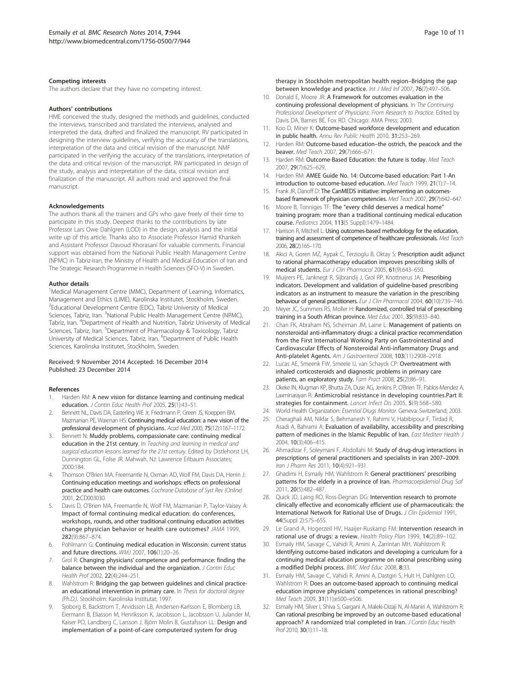#### <span id="page-9-0"></span>Competing interests

The authors declare that they have no competing interest.

#### Authors' contributions

HME conceived the study, designed the methods and guidelines, conducted the interviews, transcribed and translated the interviews, analysed and interpreted the data, drafted and finalized the manuscript. RV participated in designing the interview guidelines, verifying the accuracy of the translations, interpretation of the data and critical revision of the manuscript. NMF participated in the verifying the accuracy of the translations, interpretation of the data and critical revision of the manuscript. RW participated in design of the study, analysis and interpretation of the data, critical revision and finalization of the manuscript. All authors read and approved the final manuscript.

#### Acknowledgements

The authors thank all the trainers and GPs who gave freely of their time to participate in this study. Deepest thanks to the contributions by late Professor Lars Owe Dahlgren (LOD) in the design, analysis and the initial write up of this article. Thanks also to Associate Professor Hamid Khankeh and Assistant Professor Davoud Khorasani for valuable comments. Financial support was obtained from the National Public Health Management Centre (NPMC) in Tabriz-Iran, the Ministry of Health and Medical Education of Iran and The Strategic Research Programme in Health Sciences (SFO-V) in Sweden.

#### Author details

<sup>1</sup>Medical Management Centre (MMC), Department of Learning, Informatics, Management and Ethics (LIME), Karolinska Institutet, Stockholm, Sweden. 2 Educational Development Centre (EDC), Tabriz University of Medical Sciences, Tabriz, Iran. <sup>3</sup>National Public Health Management Centre (NPMC), Tabriz, Iran. <sup>4</sup> Department of Health and Nutrition, Tabriz University of Medical Sciences, Tabriz, Iran. <sup>5</sup>Department of Pharmacology & Toxicology, Tabriz University of Medical Sciences, Tabriz, Iran. <sup>6</sup>Department of Public Health Sciences, Karolinska Institutet, Stockholm, Sweden.

#### Received: 9 November 2014 Accepted: 16 December 2014 Published: 23 December 2014

#### References

- Harden RM: A new vision for distance learning and continuing medical education. J Contin Educ Health Prof 2005, 25(1):43-51.
- 2. Bennett NL, Davis DA, Easterling WE Jr, Friedmann P, Green JS, Koeppen BM, Mazmanian PE, Waxman HS: Continuing medical education: a new vision of the professional development of physicians. Acad Med 2000, 75(12):1167–1172.
- 3. Bennett N: Muddy problems, compassionate care: continuing medical education in the 21st century. In Teaching and learning in medical and surgical education lessons learned for the 21st century. Edited by Distlehorst LH, Dunnington GL, Folse JR. Mahwah, NJ: Lawrence Erlbaum Associates; 2000:184.
- 4. Thomson O'Brien MA, Freemantle N, Oxman AD, Wolf FM, Davis DA, Herrin J: Continuing education meetings and workshops: effects on professional practice and health care outcomes. Cochrane Database of Syst Rev (Online) 2001, 2:CD003030.
- Davis D, O'Brien MA, Freemantle N, Wolf FM, Mazmanian P, Taylor-Vaisey A: Impact of formal continuing medical education: do conferences, workshops, rounds, and other traditional continuing education activities change physician behavior or health care outcomes? JAMA 1999, 282(9):867–874.
- 6. Pohlmann G: Continuing medical education in Wisconsin: current status and future directions. WMJ 2007, 106(1):20–26.
- 7. Grol R: Changing physicians' competence and performance: finding the balance between the individual and the organization. J Contin Educ Health Prof 2002, 22(4):244–251.
- 8. Wahlstrom R: Bridging the gap between guidelines and clinical practicean educational intervention in primary care. In Thesis for doctoral degree (Ph.D.). Stockholm: Karolinska Institutat; 1997.
- 9. Sjoborg B, Backstrom T, Arvidsson LB, Andersen-Karlsson E, Blomberg LB, Eiermann B, Eliasson M, Henriksson K, Jacobsson L, Jacobsson U, Julander M, Kaiser PO, Landberg C, Larsson J, Björn Molin B, Gustafsson LL: Design and implementation of a point-of-care computerized system for drug
- 10. Donald E, Moore JR: A Framework for outcomes evaluation in the continuing professional development of physicians. In The Continuing Professional Development of Physicians: From Research to Practice. Edited by Davis DA, Barnes BE, Fox RD. Chicago: AMA Press; 2003.
- 11. Koo D, Miner K: Outcome-based workforce development and education in public health. Annu Rev Public Health 2010, 31:253–269.
- 12. Harden RM: Outcome-based education–the ostrich, the peacock and the beaver. Med Teach 2007, 29(7):666–671.
- 13. Harden RM: Outcome-Based Education: the future is today. Med Teach 2007, 29(7):625–629.
- 14. Harden RM: AMEE Guide No. 14: Outcome-based education: Part 1-An introduction to outcome-based education. Med Teach 1999, 21(1):7–14.
- 15. Frank JR, Danoff D: The CanMEDS initiative: implementing an outcomesbased framework of physician competencies. Med Teach 2007, 29(7):642–647.
- 16. Moore B, Tonniges TF: The "every child deserves a medical home" training program: more than a traditional continuing medical education course. Pediatrics 2004, 113(5 Suppl):1479–1484.
- 17. Harrison R, Mitchell L: Using outcomes-based methodology for the education, training and assessment of competence of healthcare professionals. Med Teach 2006, 28(2):165–170.
- 18. Akici A, Goren MZ, Aypak C, Terzioglu B, Oktay S: Prescription audit adjunct to rational pharmacotherapy education improves prescribing skills of medical students. Eur J Clin Pharmacol 2005, 61(9):643–650.
- 19. Muijrers PE, Janknegt R, Sijbrandij J, Grol RP, Knottnerus JA: Prescribing indicators. Development and validation of guideline-based prescribing indicators as an instrument to measure the variation in the prescribing behaviour of general practitioners. Eur J Clin Pharmacol 2004, 60(10):739-746.
- 20. Mever JC, Summers RS, Moller H: Randomized, controlled trial of prescribing training in a South African province. Med Educ 2001, 35(9):833–840.
- 21. Chan FK, Abraham NS, Scheiman JM, Laine L: Management of patients on nonsteroidal anti-inflammatory drugs: a clinical practice recommendation from the First International Working Party on Gastrointestinal and Cardiovascular Effects of Nonsteroidal Anti-inflammatory Drugs and Anti-platelet Agents. Am J Gastroenterol 2008, 103(11):2908–2918.
- 22. Lucas AE, Smeenk FW, Smeele IJ, van Schayck CP: Overtreatment with inhaled corticosteroids and diagnostic problems in primary care patients, an exploratory study. Fam Pract 2008, 25(2):86-91.
- 23. Okeke IN, Klugman KP, Bhutta ZA, Duse AG, Jenkins P, O'Brien TF, Pablos-Mendez A, Laxminarayan R: Antimicrobial resistance in developing countries.Part II: strategies for containment. Lancet Infect Dis 2005, 5(9):568–580.
- 24. World Health Organization: Essential Drugs Monitor. Geneva: Switzerland; 2003.
- 25. Cheraghali AM, Nikfar S, Behmanesh Y, Rahimi V, Habibipour F, Tirdad R, Asadi A, Bahrami A: Evaluation of availability, accessibility and prescribing pattern of medicines in the Islamic Republic of Iran. East Mediterr Health J 2004, 10(3):406–415.
- 26. Ahmadizar F, Soleymani F, Abdollahi M: Study of drug-drug interactions in prescriptions of general practitioners and specialists in iran 2007–2009. Iran J Pharm Res 2011, 10(4):921–931.
- 27. Ghadimi H, Esmaily HM, Wahlstrom R: General practitioners' prescribing patterns for the elderly in a province of Iran. Pharmacoepidemiol Drug Saf 2011, 20(5):482–487.
- 28. Quick JD, Laing RO, Ross-Degnan DG: Intervention research to promote clinically effective and economically efficient use of pharmaceuticals: the International Network for Rational Use of Drugs. J Clin Epidemiol 1991, 44(Suppl 2):57S–65S.
- 29. Le Grand A, Hogerzeil HV, Haaijer-Ruskamp FM: Intervention research in rational use of drugs: a review. Health Policy Plan 1999, 14(2):89–102.
- 30. Esmaily HM, Savage C, Vahidi R, Amini A, Zarrintan MH, Wahlstrom R: Identifying outcome-based indicators and developing a curriculum for a continuing medical education programme on rational prescribing using a modified Delphi process. BMC Med Educ 2008, 8:33.
- 31. Esmaily HM, Savage C, Vahidi R, Amini A, Dastgiri S, Hult H, Dahlgren LO, Wahlstrom R: Does an outcome-based approach to continuing medical education improve physicians' competences in rational prescribing? Med Teach 2009, 31(11):e500–e506.
- 32. Esmaily HM, Silver I, Shiva S, Gargani A, Maleki-Dizaji N, Al-Maniri A, Wahlstrom R: Can rational prescribing be improved by an outcome-based educational approach? A randomized trial completed in Iran. J Contin Educ Health Prof 2010, 30(1):11–18.